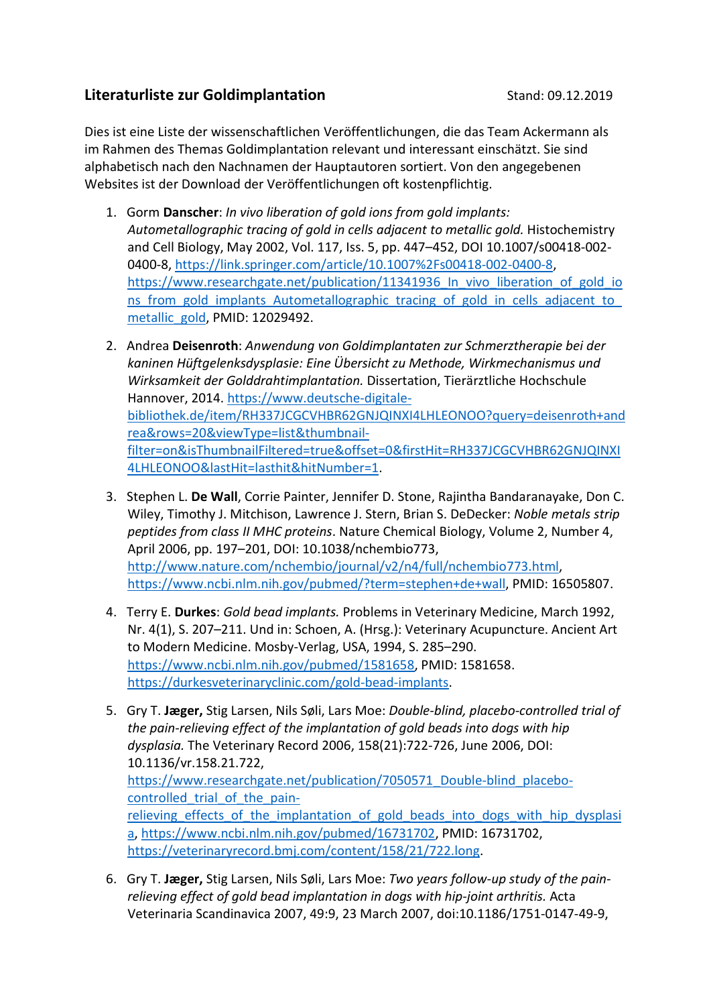## Literaturliste zur Goldimplantation and Stand: 09.12.2019

Dies ist eine Liste der wissenschaftlichen Veröffentlichungen, die das Team Ackermann als im Rahmen des Themas Goldimplantation relevant und interessant einschätzt. Sie sind alphabetisch nach den Nachnamen der Hauptautoren sortiert. Von den angegebenen Websites ist der Download der Veröffentlichungen oft kostenpflichtig.

- 1. Gorm Danscher: In vivo liberation of gold ions from gold implants: Autometallographic tracing of gold in cells adjacent to metallic gold. Histochemistry and Cell Biology, May 2002, Vol. 117, Iss. 5, pp. 447–452, DOI 10.1007/s00418-002- 0400-8, https://link.springer.com/article/10.1007%2Fs00418-002-0400-8, https://www.researchgate.net/publication/11341936 In vivo liberation of gold io ns from gold implants Autometallographic tracing of gold in cells adjacent to metallic\_gold, PMID: 12029492.
- 2. Andrea Deisenroth: Anwendung von Goldimplantaten zur Schmerztherapie bei der kaninen Hüftgelenksdysplasie: Eine Übersicht zu Methode, Wirkmechanismus und Wirksamkeit der Golddrahtimplantation. Dissertation, Tierärztliche Hochschule Hannover, 2014. https://www.deutsche-digitalebibliothek.de/item/RH337JCGCVHBR62GNJQINXI4LHLEONOO?query=deisenroth+and rea&rows=20&viewType=list&thumbnailfilter=on&isThumbnailFiltered=true&offset=0&firstHit=RH337JCGCVHBR62GNJQINXI 4LHLEONOO&lastHit=lasthit&hitNumber=1.
- 3. Stephen L. De Wall, Corrie Painter, Jennifer D. Stone, Rajintha Bandaranayake, Don C. Wiley, Timothy J. Mitchison, Lawrence J. Stern, Brian S. DeDecker: Noble metals strip peptides from class II MHC proteins. Nature Chemical Biology, Volume 2, Number 4, April 2006, pp. 197–201, DOI: 10.1038/nchembio773, http://www.nature.com/nchembio/journal/v2/n4/full/nchembio773.html, https://www.ncbi.nlm.nih.gov/pubmed/?term=stephen+de+wall, PMID: 16505807.
- 4. Terry E. Durkes: Gold bead implants. Problems in Veterinary Medicine, March 1992, Nr. 4(1), S. 207–211. Und in: Schoen, A. (Hrsg.): Veterinary Acupuncture. Ancient Art to Modern Medicine. Mosby-Verlag, USA, 1994, S. 285–290. https://www.ncbi.nlm.nih.gov/pubmed/1581658, PMID: 1581658. https://durkesveterinaryclinic.com/gold-bead-implants.
- 5. Gry T. Jæger, Stig Larsen, Nils Søli, Lars Moe: Double-blind, placebo-controlled trial of the pain-relieving effect of the implantation of gold beads into dogs with hip dysplasia. The Veterinary Record 2006, 158(21):722-726, June 2006, DOI: 10.1136/vr.158.21.722, https://www.researchgate.net/publication/7050571\_Double-blind\_placebocontrolled trial of the painrelieving effects of the implantation of gold beads into dogs with hip dysplasi a, https://www.ncbi.nlm.nih.gov/pubmed/16731702, PMID: 16731702, https://veterinaryrecord.bmj.com/content/158/21/722.long.
- 6. Gry T. Jæger, Stig Larsen, Nils Søli, Lars Moe: Two years follow-up study of the painrelieving effect of gold bead implantation in dogs with hip-joint arthritis. Acta Veterinaria Scandinavica 2007, 49:9, 23 March 2007, doi:10.1186/1751-0147-49-9,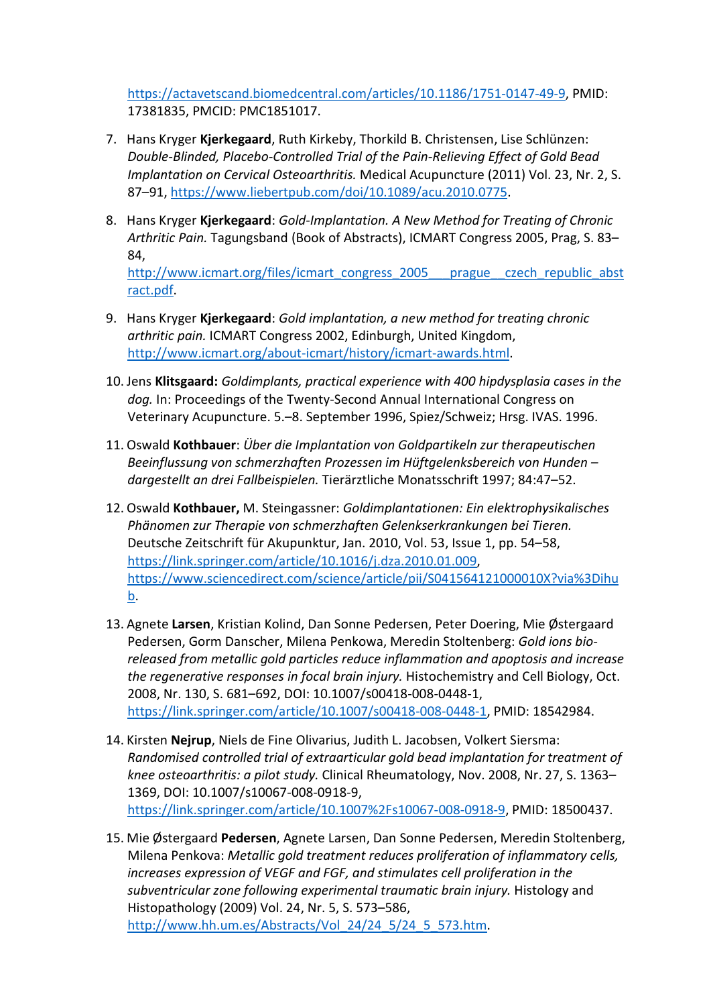https://actavetscand.biomedcentral.com/articles/10.1186/1751-0147-49-9, PMID: 17381835, PMCID: PMC1851017.

- 7. Hans Kryger Kjerkegaard, Ruth Kirkeby, Thorkild B. Christensen, Lise Schlünzen: Double-Blinded, Placebo-Controlled Trial of the Pain-Relieving Effect of Gold Bead Implantation on Cervical Osteoarthritis. Medical Acupuncture (2011) Vol. 23, Nr. 2, S. 87–91, https://www.liebertpub.com/doi/10.1089/acu.2010.0775.
- 8. Hans Kryger Kjerkegaard: Gold-Implantation. A New Method for Treating of Chronic Arthritic Pain. Tagungsband (Book of Abstracts), ICMART Congress 2005, Prag, S. 83– 84, http://www.icmart.org/files/icmart\_congress\_2005\_\_\_prague\_\_czech\_republic\_abst ract.pdf.
- 9. Hans Kryger Kjerkegaard: Gold implantation, a new method for treating chronic arthritic pain. ICMART Congress 2002, Edinburgh, United Kingdom, http://www.icmart.org/about-icmart/history/icmart-awards.html.
- 10. Jens Klitsgaard: Goldimplants, practical experience with 400 hipdysplasia cases in the dog. In: Proceedings of the Twenty-Second Annual International Congress on Veterinary Acupuncture. 5.–8. September 1996, Spiez/Schweiz; Hrsg. IVAS. 1996.
- 11. Oswald **Kothbauer**: Über die Implantation von Goldpartikeln zur therapeutischen Beeinflussung von schmerzhaften Prozessen im Hüftgelenksbereich von Hunden – dargestellt an drei Fallbeispielen. Tierärztliche Monatsschrift 1997; 84:47–52.
- 12. Oswald Kothbauer, M. Steingassner: Goldimplantationen: Ein elektrophysikalisches Phänomen zur Therapie von schmerzhaften Gelenkserkrankungen bei Tieren. Deutsche Zeitschrift für Akupunktur, Jan. 2010, Vol. 53, Issue 1, pp. 54–58, https://link.springer.com/article/10.1016/j.dza.2010.01.009, https://www.sciencedirect.com/science/article/pii/S041564121000010X?via%3Dihu b.
- 13. Agnete Larsen, Kristian Kolind, Dan Sonne Pedersen, Peter Doering, Mie Østergaard Pedersen, Gorm Danscher, Milena Penkowa, Meredin Stoltenberg: Gold ions bioreleased from metallic gold particles reduce inflammation and apoptosis and increase the regenerative responses in focal brain injury. Histochemistry and Cell Biology, Oct. 2008, Nr. 130, S. 681–692, DOI: 10.1007/s00418-008-0448-1, https://link.springer.com/article/10.1007/s00418-008-0448-1, PMID: 18542984.
- 14. Kirsten Nejrup, Niels de Fine Olivarius, Judith L. Jacobsen, Volkert Siersma: Randomised controlled trial of extraarticular gold bead implantation for treatment of knee osteoarthritis: a pilot study. Clinical Rheumatology, Nov. 2008, Nr. 27, S. 1363– 1369, DOI: 10.1007/s10067-008-0918-9, https://link.springer.com/article/10.1007%2Fs10067-008-0918-9, PMID: 18500437.
- 15. Mie Østergaard Pedersen, Agnete Larsen, Dan Sonne Pedersen, Meredin Stoltenberg, Milena Penkova: Metallic gold treatment reduces proliferation of inflammatory cells, increases expression of VEGF and FGF, and stimulates cell proliferation in the subventricular zone following experimental traumatic brain injury. Histology and Histopathology (2009) Vol. 24, Nr. 5, S. 573–586, http://www.hh.um.es/Abstracts/Vol\_24/24\_5/24\_5\_573.htm.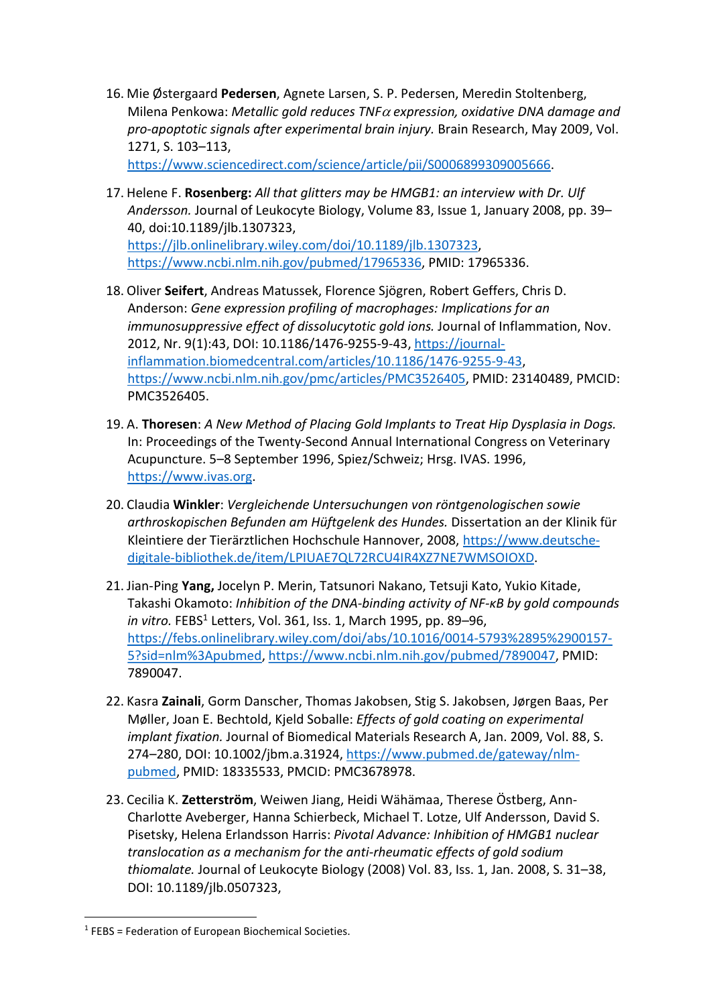16. Mie Østergaard Pedersen, Agnete Larsen, S. P. Pedersen, Meredin Stoltenberg, Milena Penkowa: Metallic gold reduces TNF $\alpha$  expression, oxidative DNA damage and pro-apoptotic signals after experimental brain injury. Brain Research, May 2009, Vol. 1271, S. 103–113,

https://www.sciencedirect.com/science/article/pii/S0006899309005666.

- 17. Helene F. Rosenberg: All that glitters may be HMGB1: an interview with Dr. Ulf Andersson. Journal of Leukocyte Biology, Volume 83, Issue 1, January 2008, pp. 39– 40, doi:10.1189/jlb.1307323, https://jlb.onlinelibrary.wiley.com/doi/10.1189/jlb.1307323, https://www.ncbi.nlm.nih.gov/pubmed/17965336, PMID: 17965336.
- 18. Oliver Seifert, Andreas Matussek, Florence Sjögren, Robert Geffers, Chris D. Anderson: Gene expression profiling of macrophages: Implications for an immunosuppressive effect of dissolucytotic gold ions. Journal of Inflammation, Nov. 2012, Nr. 9(1):43, DOI: 10.1186/1476-9255-9-43, https://journalinflammation.biomedcentral.com/articles/10.1186/1476-9255-9-43, https://www.ncbi.nlm.nih.gov/pmc/articles/PMC3526405, PMID: 23140489, PMCID: PMC3526405.
- 19. A. Thoresen: A New Method of Placing Gold Implants to Treat Hip Dysplasia in Dogs. In: Proceedings of the Twenty-Second Annual International Congress on Veterinary Acupuncture. 5–8 September 1996, Spiez/Schweiz; Hrsg. IVAS. 1996, https://www.ivas.org.
- 20. Claudia Winkler: Vergleichende Untersuchungen von röntgenologischen sowie arthroskopischen Befunden am Hüftgelenk des Hundes. Dissertation an der Klinik für Kleintiere der Tierärztlichen Hochschule Hannover, 2008, https://www.deutschedigitale-bibliothek.de/item/LPIUAE7QL72RCU4IR4XZ7NE7WMSOIOXD.
- 21. Jian-Ping Yang, Jocelyn P. Merin, Tatsunori Nakano, Tetsuji Kato, Yukio Kitade, Takashi Okamoto: Inhibition of the DNA-binding activity of NF-κB by gold compounds in vitro. FEBS<sup>1</sup> Letters, Vol. 361, Iss. 1, March 1995, pp. 89–96, https://febs.onlinelibrary.wiley.com/doi/abs/10.1016/0014-5793%2895%2900157- 5?sid=nlm%3Apubmed, https://www.ncbi.nlm.nih.gov/pubmed/7890047, PMID: 7890047.
- 22. Kasra Zainali, Gorm Danscher, Thomas Jakobsen, Stig S. Jakobsen, Jørgen Baas, Per Møller, Joan E. Bechtold, Kjeld Soballe: Effects of gold coating on experimental implant fixation. Journal of Biomedical Materials Research A, Jan. 2009, Vol. 88, S. 274–280, DOI: 10.1002/jbm.a.31924, https://www.pubmed.de/gateway/nlmpubmed, PMID: 18335533, PMCID: PMC3678978.
- 23. Cecilia K. Zetterström, Weiwen Jiang, Heidi Wähämaa, Therese Östberg, Ann-Charlotte Aveberger, Hanna Schierbeck, Michael T. Lotze, Ulf Andersson, David S. Pisetsky, Helena Erlandsson Harris: Pivotal Advance: Inhibition of HMGB1 nuclear translocation as a mechanism for the anti-rheumatic effects of gold sodium thiomalate. Journal of Leukocyte Biology (2008) Vol. 83, Iss. 1, Jan. 2008, S. 31–38, DOI: 10.1189/jlb.0507323,

 $1$  FEBS = Federation of European Biochemical Societies.